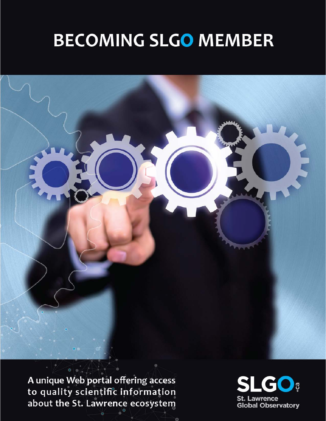# **BECOMING SLGO MEMBER**

A unique Web portal offering access to quality scientific information about the St. Lawrence ecosystem

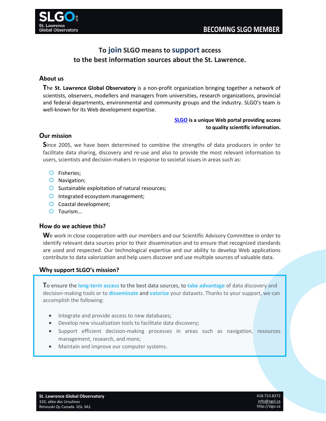

# **To join SLGO means to support access to the best information sources about the St. Lawrence.**

#### **About us**

**T**he **St. Lawrence Global Observatory** is a non-profit organization bringing together a network of scientists, observers, modellers and managers from universities, research organizations, provincial and federal departments, environmental and community groups and the industry. SLGO's team is well-known for its Web development expertise.

#### **[SLGO](http://slgo.ca/en/) is a unique Web portal providing access to quality scientific information.**

#### **Our mission**

**S**ince 2005, we have been determined to combine the strengths of data producers in order to facilitate data sharing, discovery and re-use and also to provide the most relevant information to users, scientists and decision-makers in response to societal issues in areas such as:

- Fisheries;
- O Navigation;
- $\bigcirc$  Sustainable exploitation of natural resources;
- $O$  Integrated ecosystem management;
- Coastal development;
- O Tourism...

#### **How do we achieve this?**

**W**e work in close cooperation with our members and our Scientific Advisory Committee in order to identify relevant data sources prior to their dissemination and to ensure that recognized standards are used and respected. Our technological expertise and our ability to develop Web applications contribute to data valorization and help users discover and use multiple sources of valuable data.

#### **Why support SLGO's mission?**

**T**o ensure the **long-term access** to the best data sources, to **take advantage** of data discovery and decision-making tools or to **disseminate** and **valorize** your datasets. Thanks to your support, we can accomplish the following:

- Integrate and provide access to new databases;
- Develop new visualization tools to facilitate data discovery;
- Support efficient decision-making processes in areas such as navigation, resources management, research, and more;
- Maintain and improve our computer systems.

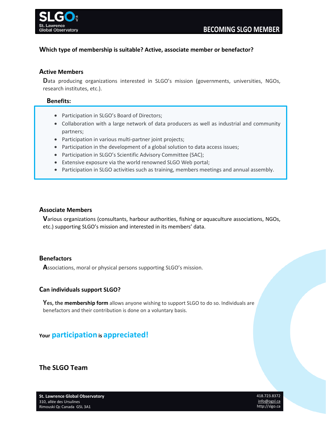

#### **Which type of membership is suitable? Active, associate member or benefactor?**

#### **Active Members**

**D**ata producing organizations interested in SLGO's mission (governments, universities, NGOs, research institutes, etc.).

#### **Benefits:**

- Participation in SLGO's Board of Directors;
- Collaboration with a large network of data producers as well as industrial and community partners;
- Participation in various multi-partner joint projects;
- Participation in the development of a global solution to data access issues;
- Participation in SLGO's Scientific Advisory Committee (SAC);
- Extensive exposure via the world renowned SLGO Web portal;
- Participation in SLGO activities such as training, members meetings and annual assembly.

#### **Associate Members**

**V**arious organizations (consultants, harbour authorities, fishing or aquaculture associations, NGOs, etc.) supporting SLGO's mission and interested in its members' data.

#### **Benefactors**

**A**ssociations, moral or physical persons supporting SLGO's mission.

#### **Can individuals support SLGO?**

**Yes, the [membership form](http://ogsl.ca/images/docs/pdf/Adhesion-membre-OGSL.pdf)** allows anyone wishing to support SLGO to do so. Individuals are benefactors and their contribution is done on a voluntary basis.

## **Your participation is appreciated!**

**The SLGO Team**